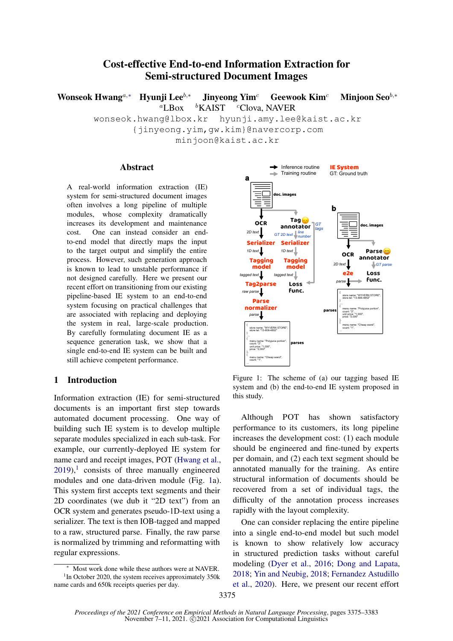# Cost-effective End-to-end Information Extraction for Semi-structured Document Images

Wonseok Hwang<sup>a,∗</sup> Hyunji Lee<sup>b,∗</sup> Jinyeong Yim<sup>c</sup> Geewook Kim<sup>c</sup> Minjoon Seo<sup>b,</sup>\*  ${}^a$ LBox  ${}^b$ KAIST  ${}^c$ Clova, NAVER

wonseok.hwang@lbox.kr hyunji.amy.lee@kaist.ac.kr {jinyeong.yim,gw.kim}@navercorp.com minjoon@kaist.ac.kr

#### **Abstract**

A real-world information extraction (IE) system for semi-structured document images often involves a long pipeline of multiple modules, whose complexity dramatically increases its development and maintenance cost. One can instead consider an endto-end model that directly maps the input to the target output and simplify the entire process. However, such generation approach is known to lead to unstable performance if not designed carefully. Here we present our recent effort on transitioning from our existing pipeline-based IE system to an end-to-end system focusing on practical challenges that are associated with replacing and deploying the system in real, large-scale production. By carefully formulating document IE as a sequence generation task, we show that a single end-to-end IE system can be built and still achieve competent performance.

### <span id="page-0-2"></span>1 Introduction

Information extraction (IE) for semi-structured documents is an important first step towards automated document processing. One way of building such IE system is to develop multiple separate modules specialized in each sub-task. For example, our currently-deployed IE system for name card and receipt images, POT [\(Hwang et al.,](#page-4-0)  $2019$  $2019$  $2019$ ,<sup>1</sup> consists of three manually engineered modules and one data-driven module (Fig. [1a](#page-0-1)). This system first accepts text segments and their 2D coordinates (we dub it "2D text") from an OCR system and generates pseudo-1D-text using a serializer. The text is then IOB-tagged and mapped to a raw, structured parse. Finally, the raw parse is normalized by trimming and reformatting with regular expressions.

<span id="page-0-1"></span>

Figure 1: The scheme of (a) our tagging based IE system and (b) the end-to-end IE system proposed in this study.

Although POT has shown satisfactory performance to its customers, its long pipeline increases the development cost: (1) each module should be engineered and fine-tuned by experts per domain, and (2) each text segment should be annotated manually for the training. As entire structural information of documents should be recovered from a set of individual tags, the difficulty of the annotation process increases rapidly with the layout complexity.

One can consider replacing the entire pipeline into a single end-to-end model but such model is known to show relatively low accuracy in structured prediction tasks without careful modeling [\(Dyer et al.,](#page-4-1) [2016;](#page-4-1) [Dong and Lapata,](#page-4-2) [2018;](#page-4-2) [Yin and Neubig,](#page-4-3) [2018;](#page-4-3) [Fernandez Astudillo](#page-4-4) [et al.,](#page-4-4) [2020\)](#page-4-4). Here, we present our recent effort

<span id="page-0-0"></span>Most work done while these authors were at NAVER. <sup>1</sup>In October 2020, the system receives approximately 350k name cards and 650k receipts queries per day.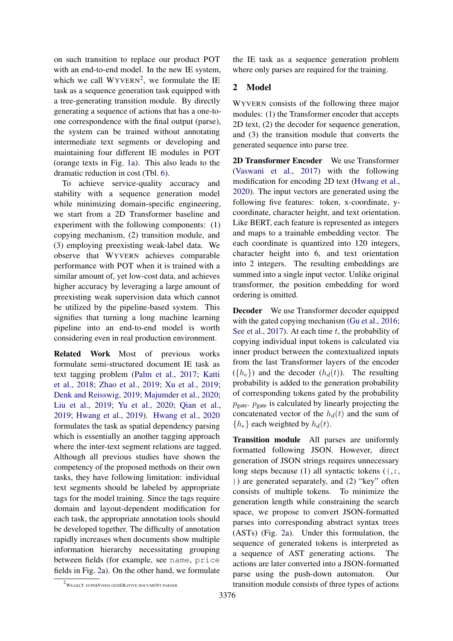on such transition to replace our product POT with an end-to-end model. In the new IE system, which we call  $WYVERN^2$  $WYVERN^2$ , we formulate the IE task as a sequence generation task equipped with a tree-generating transition module. By directly generating a sequence of actions that has a one-toone correspondence with the final output (parse), the system can be trained without annotating intermediate text segments or developing and maintaining four different IE modules in POT (orange texts in Fig. [1a](#page-0-1)). This also leads to the dramatic reduction in cost (Tbl. [6\)](#page-3-0).

To achieve service-quality accuracy and stability with a sequence generation model while minimizing domain-specific engineering, we start from a 2D Transformer baseline and experiment with the following components: (1) copying mechanism, (2) transition module, and (3) employing preexisting weak-label data. We observe that WYVERN achieves comparable performance with POT when it is trained with a similar amount of, yet low-cost data, and achieves higher accuracy by leveraging a large amount of preexisting weak supervision data which cannot be utilized by the pipeline-based system. This signifies that turning a long machine learning pipeline into an end-to-end model is worth considering even in real production environment.

Related Work Most of previous works formulate semi-structured document IE task as text tagging problem [\(Palm et al.,](#page-4-5) [2017;](#page-4-5) [Katti](#page-4-6) [et al.,](#page-4-6) [2018;](#page-4-6) [Zhao et al.,](#page-5-0) [2019;](#page-5-0) [Xu et al.,](#page-4-7) [2019;](#page-4-7) [Denk and Reisswig,](#page-4-8) [2019;](#page-4-8) [Majumder et al.,](#page-4-9) [2020;](#page-4-9) [Liu et al.,](#page-4-10) [2019;](#page-4-10) [Yu et al.,](#page-4-11) [2020;](#page-4-11) [Qian et al.,](#page-4-12) [2019;](#page-4-12) [Hwang et al.,](#page-4-0) [2019\)](#page-4-0). [Hwang et al.,](#page-4-13) [2020](#page-4-13) formulates the task as spatial dependency parsing which is essentially an another tagging approach where the inter-text segment relations are tagged. Although all previous studies have shown the competency of the proposed methods on their own tasks, they have following limitation: individual text segments should be labeled by appropriate tags for the model training. Since the tags require domain and layout-dependent modification for each task, the appropriate annotation tools should be developed together. The difficulty of annotation rapidly increases when documents show multiple information hierarchy necessitating grouping between fields (for example, see name, price fields in Fig. [2a](#page-2-0)). On the other hand, we formulate

the IE task as a sequence generation problem where only parses are required for the training.

# <span id="page-1-1"></span>2 Model

WYVERN consists of the following three major modules: (1) the Transformer encoder that accepts 2D text, (2) the decoder for sequence generation, and (3) the transition module that converts the generated sequence into parse tree.

2D Transformer Encoder We use Transformer [\(Vaswani et al.,](#page-4-14) [2017\)](#page-4-14) with the following modification for encoding 2D text [\(Hwang et al.,](#page-4-13) [2020\)](#page-4-13). The input vectors are generated using the following five features: token, x-coordinate, ycoordinate, character height, and text orientation. Like BERT, each feature is represented as integers and maps to a trainable embedding vector. The each coordinate is quantized into 120 integers, character height into 6, and text orientation into 2 integers. The resulting embeddings are summed into a single input vector. Unlike original transformer, the position embedding for word ordering is omitted.

Decoder We use Transformer decoder equipped with the gated copying mechanism [\(Gu et al.,](#page-4-15) [2016;](#page-4-15) [See et al.,](#page-4-16) [2017\)](#page-4-16). At each time  $t$ , the probability of copying individual input tokens is calculated via inner product between the contextualized inputs from the last Transformer layers of the encoder  $({h_e})$  and the decoder  $(h_d(t))$ . The resulting probability is added to the generation probability of corresponding tokens gated by the probability  $p_{\text{gate}}$ .  $p_{\text{gate}}$  is calculated by linearly projecting the concatenated vector of the  $h_d(t)$  and the sum of  ${h_e}$  each weighted by  $h_d(t)$ .

Transition module All parses are uniformly formatted following JSON. However, direct generation of JSON strings requires unnecessary long steps because (1) all syntactic tokens  $($ ,:, }) are generated separately, and (2) "key" often consists of multiple tokens. To minimize the generation length while constraining the search space, we propose to convert JSON-formatted parses into corresponding abstract syntax trees (ASTs) (Fig. [2a](#page-2-0)). Under this formulation, the sequence of generated tokens is interpreted as a sequence of AST generating actions. The actions are later converted into a JSON-formatted parse using the push-down automaton. Our transition module consists of three types of actions

<span id="page-1-0"></span> $^2$  WEAKLY SUPERVISED GENERATIVE DOCUMENT PARSER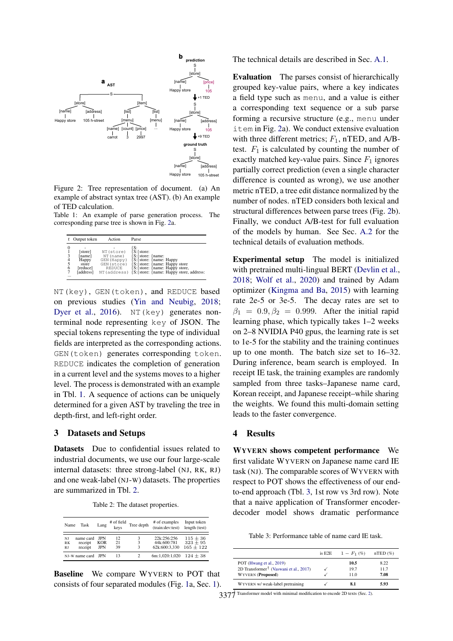<span id="page-2-0"></span>

Figure 2: Tree representation of document. (a) An example of abstract syntax tree (AST). (b) An example of TED calculation.

<span id="page-2-1"></span>Table 1: An example of parse generation process. The corresponding parse tree is shown in Fig. [2a](#page-2-0).

|                             | Output token                                                 | Action                                                                          | Parse                                                                                                                                                                            |
|-----------------------------|--------------------------------------------------------------|---------------------------------------------------------------------------------|----------------------------------------------------------------------------------------------------------------------------------------------------------------------------------|
| 0<br>$\frac{4}{5}$<br>6<br> | [store]<br>[name]<br>Happy<br>store<br>[reduce]<br>[address] | NT (store)<br>NT (name)<br>GEN (Happy)<br>GEN (store)<br>REDUCE<br>NT (address) | IS:<br>S: { store:<br>S: {store: {name:<br>{S: {store: {name: Happy<br>S: store: {name: Happy store}<br>S: store: {name: Happy store,<br>[S: store: {name: Happy store, address: |

NT(key), GEN(token), and REDUCE based on previous studies [\(Yin and Neubig,](#page-4-3) [2018;](#page-4-3) [Dyer et al.,](#page-4-1) [2016\)](#page-4-1). NT (key) generates nonterminal node representing key of JSON. The special tokens representing the type of individual fields are interpreted as the corresponding actions. GEN(token) generates corresponding token. REDUCE indicates the completion of generation in a current level and the systems moves to a higher level. The process is demonstrated with an example in Tbl. [1.](#page-2-1) A sequence of actions can be uniquely determined for a given AST by traveling the tree in depth-first, and left-right order.

#### 3 Datasets and Setups

Datasets Due to confidential issues related to industrial documents, we use our four large-scale internal datasets: three strong-label (NJ, RK, RJ) and one weak-label (NJ-W) datasets. The properties are summarized in Tbl. [2.](#page-2-2)

|  | Table 2: The dataset properties. |  |
|--|----------------------------------|--|
|--|----------------------------------|--|

<span id="page-2-2"></span>

| Name                         | Task                            | Lang                     | # of field<br>keys | Tree depth | # of examples<br>(train:dev:test)           | Input token<br>length (test)                |  |  |
|------------------------------|---------------------------------|--------------------------|--------------------|------------|---------------------------------------------|---------------------------------------------|--|--|
| NI<br><b>RK</b><br><b>RJ</b> | name card<br>receipt<br>receipt | IPN<br>KOR<br><b>JPN</b> | 12<br>21<br>39     | ٩          | 22k:256:256<br>44k:600:781<br>62k:600:3.330 | $115 \pm 36$<br>$323 \pm 95$<br>$165 + 122$ |  |  |
|                              | NJ-W name card                  | <b>IPN</b>               | 13                 |            | 6m:1.020:1.020                              | $124 + 38$                                  |  |  |

Baseline We compare WYVERN to POT that consists of four separated modules (Fig. [1a](#page-0-1), Sec. [1\)](#page-0-2). The technical details are described in Sec. [A.1.](#page-6-0)

Evaluation The parses consist of hierarchically grouped key-value pairs, where a key indicates a field type such as menu, and a value is either a corresponding text sequence or a sub parse forming a recursive structure (e.g., menu under item in Fig. [2a](#page-2-0)). We conduct extensive evaluation with three different metrics;  $F_1$ , nTED, and A/Btest.  $F_1$  is calculated by counting the number of exactly matched key-value pairs. Since  $F_1$  ignores partially correct prediction (even a single character difference is counted as wrong), we use another metric nTED, a tree edit distance normalized by the number of nodes. nTED considers both lexical and structural differences between parse trees (Fig. [2b](#page-2-0)). Finally, we conduct A/B-test for full evaluation of the models by human. See Sec. [A.2](#page-6-1) for the technical details of evaluation methods.

Experimental setup The model is initialized with pretrained multi-lingual BERT [\(Devlin et al.,](#page-4-17) [2018;](#page-4-17) [Wolf et al.,](#page-4-18) [2020\)](#page-4-18) and trained by Adam optimizer [\(Kingma and Ba,](#page-4-19) [2015\)](#page-4-19) with learning rate 2e-5 or 3e-5. The decay rates are set to  $\beta_1 = 0.9, \beta_2 = 0.999$ . After the initial rapid learning phase, which typically takes 1–2 weeks on 2–8 NVIDIA P40 gpus, the learning rate is set to 1e-5 for the stability and the training continues up to one month. The batch size set to 16–32. During inference, beam search is employed. In receipt IE task, the training examples are randomly sampled from three tasks–Japanese name card, Korean receipt, and Japanese receipt–while sharing the weights. We found this multi-domain setting leads to the faster convergence.

#### 4 Results

WYVERN shows competent performance We first validate WYVERN on Japanese name card IE task (NJ). The comparable scores of WYVERN with respect to POT shows the effectiveness of our endto-end approach (Tbl. [3,](#page-2-3) 1st row vs 3rd row). Note that a naive application of Transformer encoderdecoder model shows dramatic performance

<span id="page-2-3"></span>Table 3: Performance table of name card IE task.

|                                                    | is E2E | $1-F_1(\%)$ | nTED(%) |
|----------------------------------------------------|--------|-------------|---------|
| POT (Hwang et al., 2019)                           |        | 10.5        | 8.22    |
| 2D Transformer <sup>†</sup> (Vaswani et al., 2017) |        | 19.7        | 11.7    |
| <b>WYVERN</b> (Proposed)                           |        | 11.0        | 7.08    |
| WYVERN w/weak-label pretraining                    |        | 8.1         | 5.93    |

 $3377$  Transformer model with minimal modification to encode 2D texts (Sec. [2\)](#page-1-1).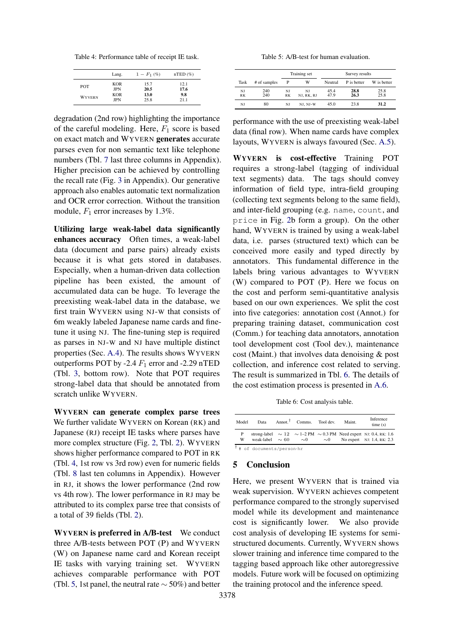<span id="page-3-1"></span>Table 4: Performance table of receipt IE task.

|               | Lang.      | $1-F_1(\%)$ | $nTED$ (%) |
|---------------|------------|-------------|------------|
| <b>POT</b>    | <b>KOR</b> | 15.7        | 12.1       |
|               | <b>JPN</b> | 20.5        | 17.6       |
| <b>WYVERN</b> | <b>KOR</b> | 13.0        | 9.8        |
|               | <b>JPN</b> | 25.8        | 21.1       |

degradation (2nd row) highlighting the importance of the careful modeling. Here,  $F_1$  score is based on exact match and WYVERN generates accurate parses even for non semantic text like telephone numbers (Tbl. [7](#page-6-2) last three columns in Appendix). Higher precision can be achieved by controlling the recall rate (Fig. [3](#page-8-0) in Appendix). Our generative approach also enables automatic text normalization and OCR error correction. Without the transition module,  $F_1$  error increases by 1.3%.

Utilizing large weak-label data significantly enhances accuracy Often times, a weak-label data (document and parse pairs) already exists because it is what gets stored in databases. Especially, when a human-driven data collection pipeline has been existed, the amount of accumulated data can be huge. To leverage the preexisting weak-label data in the database, we first train WYVERN using NJ-W that consists of 6m weakly labeled Japanese name cards and finetune it using NJ. The fine-tuning step is required as parses in NJ-W and NJ have multiple distinct properties (Sec. [A.4\)](#page-7-0). The results shows WYVERN outperforms POT by -2.4  $F_1$  error and -2.29 nTED (Tbl. [3,](#page-2-3) bottom row). Note that POT requires strong-label data that should be annotated from scratch unlike WYVERN.

WYVERN can generate complex parse trees We further validate WYVERN on Korean (RK) and Japanese (RJ) receipt IE tasks where parses have more complex structure (Fig. [2,](#page-2-0) Tbl. [2\)](#page-2-2). WYVERN shows higher performance compared to POT in RK (Tbl. [4,](#page-3-1) 1st row vs 3rd row) even for numeric fields (Tbl. [8](#page-7-1) last ten columns in Appendix). However in RJ, it shows the lower performance (2nd row vs 4th row). The lower performance in RJ may be attributed to its complex parse tree that consists of a total of 39 fields (Tbl. [2\)](#page-2-2).

WYVERN is preferred in A/B-test We conduct three A/B-tests between POT (P) and WYVERN (W) on Japanese name card and Korean receipt IE tasks with varying training set. WYVERN achieves comparable performance with POT (Tbl. [5,](#page-3-2) 1st panel, the neutral rate  $\sim$  50%) and better

Table 5: A/B-test for human evaluation.

<span id="page-3-2"></span>

|           |              |    | Training set | Survey results |             |             |  |  |  |
|-----------|--------------|----|--------------|----------------|-------------|-------------|--|--|--|
| Task      | # of samples | P  | w            | Neutral        | P is better | W is better |  |  |  |
| NJ        | 240          | NI | NI           | 45.4           | 28.8        | 25.8        |  |  |  |
| <b>RK</b> | 240          | RK | NJ, RK, RJ   | 47.9           | 26.3        | 25.8        |  |  |  |
| NJ        | 80           | NI | NJ, NJ-W     | 45.0           | 23.8        | 31.2        |  |  |  |

performance with the use of preexisting weak-label data (final row). When name cards have complex layouts, WYVERN is always favoured (Sec. [A.5\)](#page-7-2).

WYVERN is cost-effective Training POT requires a strong-label (tagging of individual text segments) data. The tags should convey information of field type, intra-field grouping (collecting text segments belong to the same field), and inter-field grouping (e.g. name, count, and price in Fig. [2b](#page-2-0) form a group). On the other hand, WYVERN is trained by using a weak-label data, i.e. parses (structured text) which can be conceived more easily and typed directly by annotators. This fundamental difference in the labels bring various advantages to WYVERN (W) compared to POT (P). Here we focus on the cost and perform semi-quantitative analysis based on our own experiences. We split the cost into five categories: annotation cost (Annot.) for preparing training dataset, communication cost (Comm.) for teaching data annotators, annotation tool development cost (Tool dev.), maintenance cost (Maint.) that involves data denoising & post collection, and inference cost related to serving. The result is summarized in Tbl. [6.](#page-3-0) The details of the cost estimation process is presented in [A.6.](#page-7-3)

Table 6: Cost analysis table.

<span id="page-3-0"></span>

| Model  | Data                                  | Annot. <sup>†</sup> Comms. Tool dev. |             | Maint. | Inference<br>time(s)                                                                                        |  |
|--------|---------------------------------------|--------------------------------------|-------------|--------|-------------------------------------------------------------------------------------------------------------|--|
| P<br>w |                                       | weak-label $\sim 60 \sim 0$          | $\sim\!\!0$ |        | strong-label $\sim 12 \sim 1-2$ PM $\sim 0.3$ PM Need expert NJ: 0.4, RK: 1.6<br>No expert NJ: 1.4, RK: 2.3 |  |
|        | <sup>†</sup> # of documents/person·hr |                                      |             |        |                                                                                                             |  |

# 5 Conclusion

Here, we present WYVERN that is trained via weak supervision. WYVERN achieves competent performance compared to the strongly supervised model while its development and maintenance cost is significantly lower. We also provide cost analysis of developing IE systems for semistructured documents. Currently, WYVERN shows slower training and inference time compared to the tagging based approach like other autoregressive models. Future work will be focused on optimizing the training protocol and the inference speed.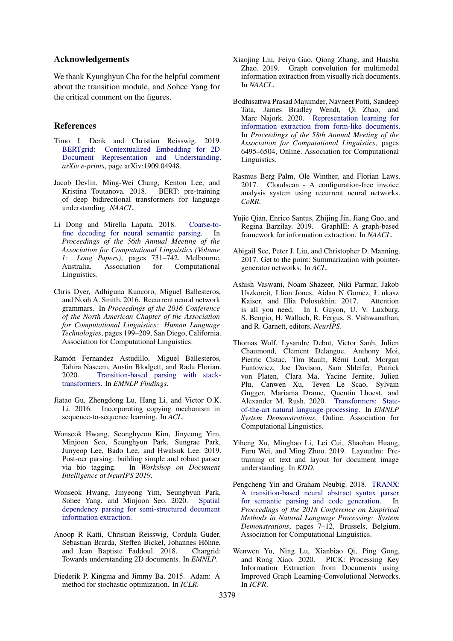### Acknowledgements

We thank Kyunghyun Cho for the helpful comment about the transition module, and Sohee Yang for the critical comment on the figures.

### References

- <span id="page-4-8"></span>Timo I. Denk and Christian Reisswig. 2019. [BERTgrid: Contextualized Embedding for 2D](http://arxiv.org/abs/1909.04948) [Document Representation and Understanding.](http://arxiv.org/abs/1909.04948) *arXiv e-prints*, page arXiv:1909.04948.
- <span id="page-4-17"></span>Jacob Devlin, Ming-Wei Chang, Kenton Lee, and Kristina Toutanova. 2018. BERT: pre-training of deep bidirectional transformers for language understanding. *NAACL*.
- <span id="page-4-2"></span>Li Dong and Mirella Lapata. 2018. [Coarse-to](https://www.aclweb.org/anthology/P18-1068)[fine decoding for neural semantic parsing.](https://www.aclweb.org/anthology/P18-1068) In *Proceedings of the 56th Annual Meeting of the Association for Computational Linguistics (Volume 1: Long Papers)*, pages 731–742, Melbourne, Australia. Association for Computational Linguistics.
- <span id="page-4-1"></span>Chris Dyer, Adhiguna Kuncoro, Miguel Ballesteros, and Noah A. Smith. 2016. Recurrent neural network grammars. In *Proceedings of the 2016 Conference of the North American Chapter of the Association for Computational Linguistics: Human Language Technologies*, pages 199–209, San Diego, California. Association for Computational Linguistics.
- <span id="page-4-4"></span>Ramón Fernandez Astudillo, Miguel Ballesteros, Tahira Naseem, Austin Blodgett, and Radu Florian. 2020. [Transition-based parsing with stack](https://doi.org/10.18653/v1/2020.findings-emnlp.89)[transformers.](https://doi.org/10.18653/v1/2020.findings-emnlp.89) In *EMNLP Findings*.
- <span id="page-4-15"></span>Jiatao Gu, Zhengdong Lu, Hang Li, and Victor O.K. Li. 2016. Incorporating copying mechanism in sequence-to-sequence learning. In *ACL*.
- <span id="page-4-0"></span>Wonseok Hwang, Seonghyeon Kim, Jinyeong Yim, Minjoon Seo, Seunghyun Park, Sungrae Park, Junyeop Lee, Bado Lee, and Hwalsuk Lee. 2019. Post-ocr parsing: building simple and robust parser via bio tagging. In *Workshop on Document Intelligence at NeurIPS 2019*.
- <span id="page-4-13"></span>Wonseok Hwang, Jinyeong Yim, Seunghyun Park, Sohee Yang, and Minjoon Seo. 2020. [Spatial](http://arxiv.org/abs/2005.00642) [dependency parsing for semi-structured document](http://arxiv.org/abs/2005.00642) [information extraction.](http://arxiv.org/abs/2005.00642)
- <span id="page-4-6"></span>Anoop R Katti, Christian Reisswig, Cordula Guder, Sebastian Brarda, Steffen Bickel, Johannes Höhne, and Jean Baptiste Faddoul. 2018. Chargrid: Towards understanding 2D documents. In *EMNLP*.
- <span id="page-4-19"></span>Diederik P. Kingma and Jimmy Ba. 2015. Adam: A method for stochastic optimization. In *ICLR*.
- <span id="page-4-10"></span>Xiaojing Liu, Feiyu Gao, Qiong Zhang, and Huasha Zhao. 2019. Graph convolution for multimodal information extraction from visually rich documents. In *NAACL*.
- <span id="page-4-9"></span>Bodhisattwa Prasad Majumder, Navneet Potti, Sandeep Tata, James Bradley Wendt, Qi Zhao, and Marc Najork. 2020. [Representation learning for](https://doi.org/10.18653/v1/2020.acl-main.580) [information extraction from form-like documents.](https://doi.org/10.18653/v1/2020.acl-main.580) In *Proceedings of the 58th Annual Meeting of the Association for Computational Linguistics*, pages 6495–6504, Online. Association for Computational Linguistics.
- <span id="page-4-5"></span>Rasmus Berg Palm, Ole Winther, and Florian Laws. 2017. Cloudscan - A configuration-free invoice analysis system using recurrent neural networks. *CoRR*.
- <span id="page-4-12"></span>Yujie Qian, Enrico Santus, Zhijing Jin, Jiang Guo, and Regina Barzilay. 2019. GraphIE: A graph-based framework for information extraction. In *NAACL*.
- <span id="page-4-16"></span>Abigail See, Peter J. Liu, and Christopher D. Manning. 2017. Get to the point: Summarization with pointergenerator networks. In *ACL*.
- <span id="page-4-14"></span>Ashish Vaswani, Noam Shazeer, Niki Parmar, Jakob Uszkoreit, Llion Jones, Aidan N Gomez, Ł ukasz Kaiser, and Illia Polosukhin. 2017. Attention is all you need. In I. Guyon, U. V. Luxburg, S. Bengio, H. Wallach, R. Fergus, S. Vishwanathan, and R. Garnett, editors, *NeurIPS*.
- <span id="page-4-18"></span>Thomas Wolf, Lysandre Debut, Victor Sanh, Julien Chaumond, Clement Delangue, Anthony Moi, Pierric Cistac, Tim Rault, Rémi Louf, Morgan Funtowicz, Joe Davison, Sam Shleifer, Patrick von Platen, Clara Ma, Yacine Jernite, Julien Plu, Canwen Xu, Teven Le Scao, Sylvain Gugger, Mariama Drame, Quentin Lhoest, and Alexander M. Rush. 2020. [Transformers: State](https://www.aclweb.org/anthology/2020.emnlp-demos.6)[of-the-art natural language processing.](https://www.aclweb.org/anthology/2020.emnlp-demos.6) In *EMNLP System Demonstrations*, Online. Association for Computational Linguistics.
- <span id="page-4-7"></span>Yiheng Xu, Minghao Li, Lei Cui, Shaohan Huang, Furu Wei, and Ming Zhou. 2019. Layoutlm: Pretraining of text and layout for document image understanding. In *KDD*.
- <span id="page-4-3"></span>Pengcheng Yin and Graham Neubig. 2018. [TRANX:](https://www.aclweb.org/anthology/D18-2002) [A transition-based neural abstract syntax parser](https://www.aclweb.org/anthology/D18-2002) [for semantic parsing and code generation.](https://www.aclweb.org/anthology/D18-2002) In *Proceedings of the 2018 Conference on Empirical Methods in Natural Language Processing: System Demonstrations*, pages 7–12, Brussels, Belgium. Association for Computational Linguistics.
- <span id="page-4-11"></span>Wenwen Yu, Ning Lu, Xianbiao Qi, Ping Gong, and Rong Xiao. 2020. PICK: Processing Key Information Extraction from Documents using Improved Graph Learning-Convolutional Networks. In *ICPR*.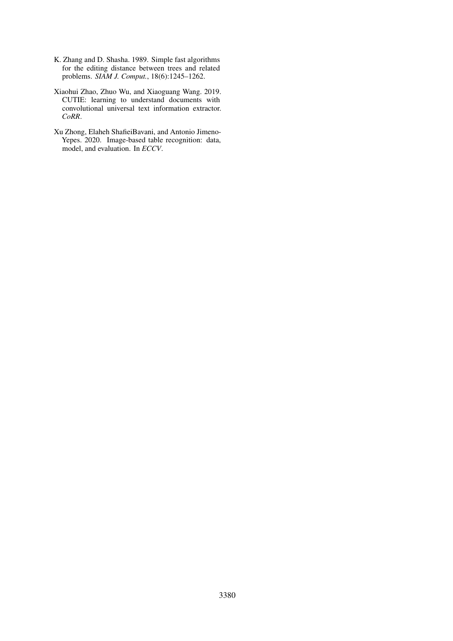- <span id="page-5-1"></span>K. Zhang and D. Shasha. 1989. Simple fast algorithms for the editing distance between trees and related problems. *SIAM J. Comput.*, 18(6):1245–1262.
- <span id="page-5-0"></span>Xiaohui Zhao, Zhuo Wu, and Xiaoguang Wang. 2019. CUTIE: learning to understand documents with convolutional universal text information extractor. *CoRR*.
- <span id="page-5-2"></span>Xu Zhong, Elaheh ShafieiBavani, and Antonio Jimeno-Yepes. 2020. Image-based table recognition: data, model, and evaluation. In *ECCV*.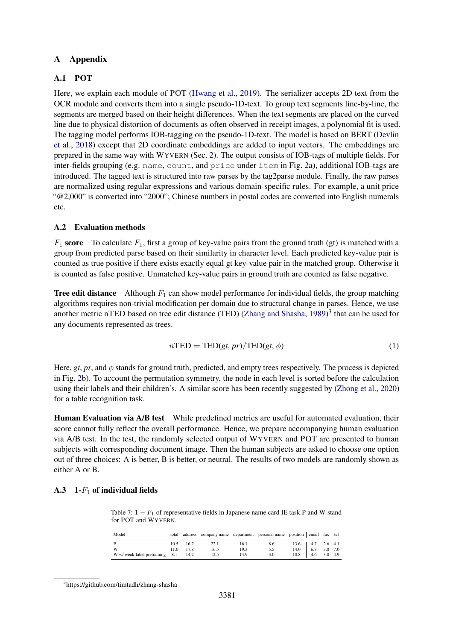# A Appendix

# <span id="page-6-0"></span>A.1 POT

Here, we explain each module of POT [\(Hwang et al.,](#page-4-0) [2019\)](#page-4-0). The serializer accepts 2D text from the OCR module and converts them into a single pseudo-1D-text. To group text segments line-by-line, the segments are merged based on their height differences. When the text segments are placed on the curved line due to physical distortion of documents as often observed in receipt images, a polynomial fit is used. The tagging model performs IOB-tagging on the pseudo-1D-text. The model is based on BERT [\(Devlin](#page-4-17) [et al.,](#page-4-17) [2018\)](#page-4-17) except that 2D coordinate embeddings are added to input vectors. The embeddings are prepared in the same way with WYVERN (Sec. [2\)](#page-1-1). The output consists of IOB-tags of multiple fields. For inter-fields grouping (e.g. name, count, and price under item in Fig. [2a](#page-2-0)), additional IOB-tags are introduced. The tagged text is structured into raw parses by the tag2parse module. Finally, the raw parses are normalized using regular expressions and various domain-specific rules. For example, a unit price "@2,000" is converted into "2000"; Chinese numbers in postal codes are converted into English numerals etc.

## <span id="page-6-1"></span>A.2 Evaluation methods

 $F_1$  score To calculate  $F_1$ , first a group of key-value pairs from the ground truth (gt) is matched with a group from predicted parse based on their similarity in character level. Each predicted key-value pair is counted as true positive if there exists exactly equal gt key-value pair in the matched group. Otherwise it is counted as false positive. Unmatched key-value pairs in ground truth are counted as false negative.

**Tree edit distance** Although  $F_1$  can show model performance for individual fields, the group matching algorithms requires non-trivial modification per domain due to structural change in parses. Hence, we use another metric nTED based on tree edit distance (TED) [\(Zhang and Shasha,](#page-5-1) [1989\)](#page-5-1)<sup>[3](#page-6-3)</sup> that can be used for any documents represented as trees.

$$
n\text{TED} = \text{TED}(gt, pr)/\text{TED}(gt, \phi) \tag{1}
$$

Here, *gt*, *pr*, and  $\phi$  stands for ground truth, predicted, and empty trees respectively. The process is depicted in Fig. [2b](#page-2-0)). To account the permutation symmetry, the node in each level is sorted before the calculation using their labels and their children's. A similar score has been recently suggested by [\(Zhong et al.,](#page-5-2) [2020\)](#page-5-2) for a table recognition task.

Human Evaluation via A/B test While predefined metrics are useful for automated evaluation, their score cannot fully reflect the overall performance. Hence, we prepare accompanying human evaluation via A/B test. In the test, the randomly selected output of WYVERN and POT are presented to human subjects with corresponding document image. Then the human subjects are asked to choose one option out of three choices: A is better, B is better, or neutral. The results of two models are randomly shown as either A or B.

# <span id="page-6-2"></span>A.3 1- $F_1$  of individual fields

Table 7:  $1 - F_1$  of representative fields in Japanese name card IE task.P and W stand for POT and WYVERN.

| Model                                                     | total |                          |                      |                      |                   | address company name department personal name position   email fax tel |  |
|-----------------------------------------------------------|-------|--------------------------|----------------------|----------------------|-------------------|------------------------------------------------------------------------|--|
| $\mathbf{P}$<br>W<br>W w/ weak-label pretraining 8.1 14.2 |       | 10.5 16.7<br>$11.0$ 17.8 | 22.1<br>16.5<br>12.5 | 16.1<br>19.3<br>14.9 | 8.6<br>5.5<br>3.0 | $13.6$   4.7 2.6 4.1<br>$14.0$   6.3 3.8 7.0<br>$10.8$   4.6 3.0 4.9   |  |

<span id="page-6-3"></span><sup>3</sup> https://github.com/timtadh/zhang-shasha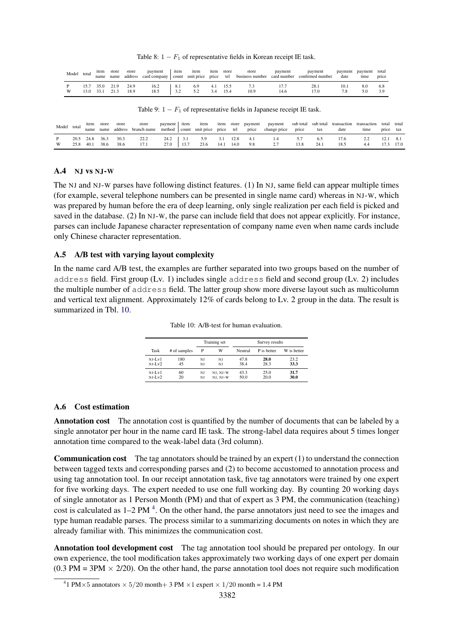Table 8:  $1 - F_1$  of representative fields in Korean receipt IE task.

<span id="page-7-1"></span>

| Model | total | item<br>name | store               | store | payment              | item | item item store |     |                  | store       | payment | payment<br>name address card company count unit price price tel business number card number confirmed number | date | payment payment total<br>time | price      |
|-------|-------|--------------|---------------------|-------|----------------------|------|-----------------|-----|------------------|-------------|---------|--------------------------------------------------------------------------------------------------------------|------|-------------------------------|------------|
|       | 13.0  | 33.1 21.3    | 15.7 35.0 21.9 24.9 | 18.9  | $16.2$   8.1<br>18.5 | 3.2  | 6.9<br>5.2      | 3.4 | 4.1 15.5<br>15.4 | 7.3<br>10.9 | 14.6    | 28.1<br>17.0                                                                                                 | 10.1 | 8.0                           | 6.8<br>3.9 |

Table 9:  $1 - F_1$  of representative fields in Japanese receipt IE task.

| Model | total | item<br>name      | store<br>name | store<br>address | store<br>branch name | payment item |             | item<br>method count unit price price tel |             |              | item store payment<br>price | payment sub total sub total transaction transaction<br>change price | price      | tax         | date         | time | total total<br>price tax |             |
|-------|-------|-------------------|---------------|------------------|----------------------|--------------|-------------|-------------------------------------------|-------------|--------------|-----------------------------|---------------------------------------------------------------------|------------|-------------|--------------|------|--------------------------|-------------|
| W     | 25.8  | 20.5 24.8<br>40.1 | 36.3<br>38.6  | 30.3<br>38.6     | 22.2<br>17.1         | 24.2<br>27.0 | 3.1<br>13.7 | 5.9<br>23.6                               | 3.1<br>14.1 | 12.8<br>14.0 | 4.1<br>9.8                  |                                                                     | 57<br>13.8 | 6.5<br>24.1 | 17.6<br>18.5 | 4.4  |                          | 8.1<br>17.0 |

### <span id="page-7-0"></span>A.4 NJ vs NJ-W

The NJ and NJ-W parses have following distinct features. (1) In NJ, same field can appear multiple times (for example, several telephone numbers can be presented in single name card) whereas in NJ-W, which was prepared by human before the era of deep learning, only single realization per each field is picked and saved in the database. (2) In NJ-W, the parse can include field that does not appear explicitly. For instance, parses can include Japanese character representation of company name even when name cards include only Chinese character representation.

### <span id="page-7-2"></span>A.5 A/B test with varying layout complexity

<span id="page-7-4"></span>In the name card A/B test, the examples are further separated into two groups based on the number of address field. First group (Lv. 1) includes single address field and second group (Lv. 2) includes the multiple number of address field. The latter group show more diverse layout such as multicolumn and vertical text alignment. Approximately 12% of cards belong to Lv. 2 group in the data. The result is summarized in Tbl. [10.](#page-7-4)

Table 10: A/B-test for human evaluation.

|            |              |    | Training set | Survey results |             |             |  |
|------------|--------------|----|--------------|----------------|-------------|-------------|--|
| Task       | # of samples | P  | W            | Neutral        | P is better | W is better |  |
| $NJ-Lv1$   | 180          | NI | NI           | 47.8           | 28.0        | 23.2        |  |
| $N.I-I.v2$ | 45           | NI | NI           | 38.4           | 28.3        | 33.3        |  |
| $N.I-I.v1$ | 60           | NJ | NJ, NJ-W     | 43.3           | 25.0        | 31.7        |  |
| $NJ-Lv2$   | 20           | NJ | NJ, NJ-W     | 50.0           | 20.0        | 30.0        |  |

### <span id="page-7-3"></span>A.6 Cost estimation

Annotation cost The annotation cost is quantified by the number of documents that can be labeled by a single annotator per hour in the name card IE task. The strong-label data requires about 5 times longer annotation time compared to the weak-label data (3rd column).

Communication cost The tag annotators should be trained by an expert (1) to understand the connection between tagged texts and corresponding parses and (2) to become accustomed to annotation process and using tag annotation tool. In our receipt annotation task, five tag annotators were trained by one expert for five working days. The expert needed to use one full working day. By counting 20 working days of single annotator as 1 Person Month (PM) and that of expert as 3 PM, the communication (teaching) cost is calculated as  $1-2$  PM  $^4$  $^4$ . On the other hand, the parse annotators just need to see the images and type human readable parses. The process similar to a summarizing documents on notes in which they are already familiar with. This minimizes the communication cost.

Annotation tool development cost The tag annotation tool should be prepared per ontology. In our own experience, the tool modification takes approximately two working days of one expert per domain  $(0.3 \text{ PM} = 3 \text{PM} \times 2/20)$ . On the other hand, the parse annotation tool does not require such modification

<span id="page-7-5"></span><sup>&</sup>lt;sup>4</sup>1 PM $\times$ 5 annotators  $\times$  5/20 month + 3 PM  $\times$ 1 expert  $\times$  1/20 month = 1.4 PM